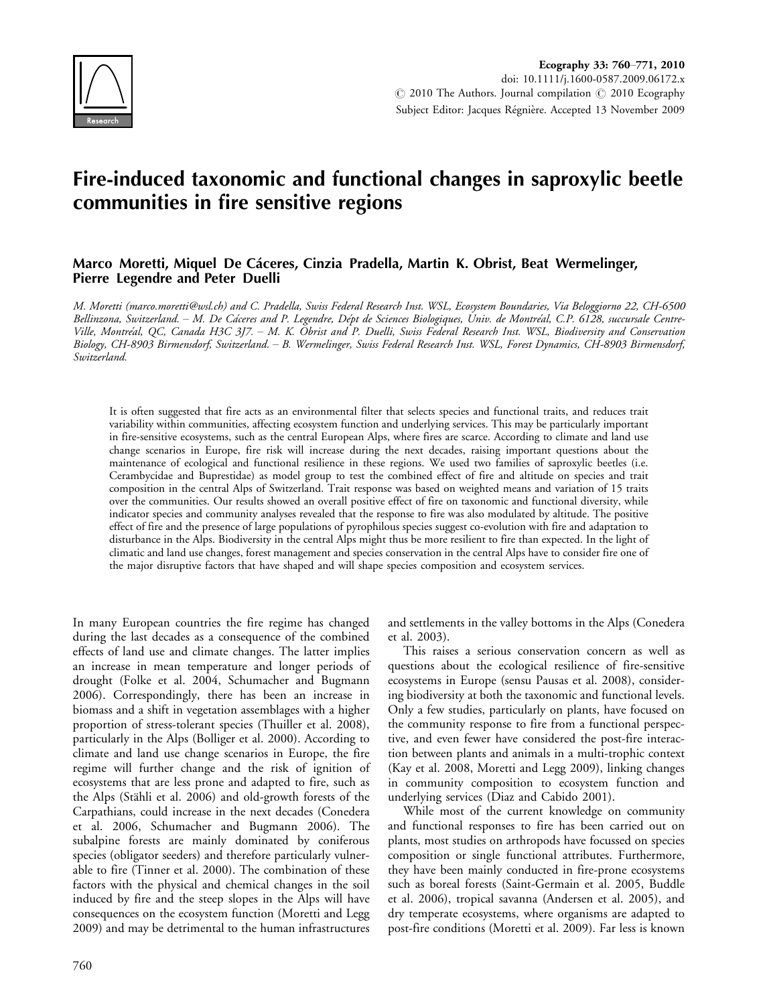

# Fire-induced taxonomic and functional changes in saproxylic beetle communities in fire sensitive regions

## Marco Moretti, Miquel De Cáceres, Cinzia Pradella, Martin K. Obrist, Beat Wermelinger, Pierre Legendre and Peter Duelli

M. Moretti (marco.moretti@wsl.ch) and C. Pradella, Swiss Federal Research Inst. WSL, Ecosystem Boundaries, Via Beloggiorno 22, CH-6500 Bellinzona, Switzerland. – M. De Cáceres and P. Legendre, Dépt de Sciences Biologiques, Univ. de Montréal, C.P. 6128, succursale Centre-Ville, Montre´al, QC, Canada H3C 3J7. M. K. Obrist and P. Duelli, Swiss Federal Research Inst. WSL, Biodiversity and Conservation Biology, CH-8903 Birmensdorf, Switzerland. B. Wermelinger, Swiss Federal Research Inst. WSL, Forest Dynamics, CH-8903 Birmensdorf, Switzerland.

It is often suggested that fire acts as an environmental filter that selects species and functional traits, and reduces trait variability within communities, affecting ecosystem function and underlying services. This may be particularly important in fire-sensitive ecosystems, such as the central European Alps, where fires are scarce. According to climate and land use change scenarios in Europe, fire risk will increase during the next decades, raising important questions about the maintenance of ecological and functional resilience in these regions. We used two families of saproxylic beetles (i.e. Cerambycidae and Buprestidae) as model group to test the combined effect of fire and altitude on species and trait composition in the central Alps of Switzerland. Trait response was based on weighted means and variation of 15 traits over the communities. Our results showed an overall positive effect of fire on taxonomic and functional diversity, while indicator species and community analyses revealed that the response to fire was also modulated by altitude. The positive effect of fire and the presence of large populations of pyrophilous species suggest co-evolution with fire and adaptation to disturbance in the Alps. Biodiversity in the central Alps might thus be more resilient to fire than expected. In the light of climatic and land use changes, forest management and species conservation in the central Alps have to consider fire one of the major disruptive factors that have shaped and will shape species composition and ecosystem services.

In many European countries the fire regime has changed during the last decades as a consequence of the combined effects of land use and climate changes. The latter implies an increase in mean temperature and longer periods of drought (Folke et al. 2004, Schumacher and Bugmann 2006). Correspondingly, there has been an increase in biomass and a shift in vegetation assemblages with a higher proportion of stress-tolerant species (Thuiller et al. 2008), particularly in the Alps (Bolliger et al. 2000). According to climate and land use change scenarios in Europe, the fire regime will further change and the risk of ignition of ecosystems that are less prone and adapted to fire, such as the Alps (Stähli et al. 2006) and old-growth forests of the Carpathians, could increase in the next decades (Conedera et al. 2006, Schumacher and Bugmann 2006). The subalpine forests are mainly dominated by coniferous species (obligator seeders) and therefore particularly vulnerable to fire (Tinner et al. 2000). The combination of these factors with the physical and chemical changes in the soil induced by fire and the steep slopes in the Alps will have consequences on the ecosystem function (Moretti and Legg 2009) and may be detrimental to the human infrastructures

and settlements in the valley bottoms in the Alps (Conedera et al. 2003).

This raises a serious conservation concern as well as questions about the ecological resilience of fire-sensitive ecosystems in Europe (sensu Pausas et al. 2008), considering biodiversity at both the taxonomic and functional levels. Only a few studies, particularly on plants, have focused on the community response to fire from a functional perspective, and even fewer have considered the post-fire interaction between plants and animals in a multi-trophic context (Kay et al. 2008, Moretti and Legg 2009), linking changes in community composition to ecosystem function and underlying services (Diaz and Cabido 2001).

While most of the current knowledge on community and functional responses to fire has been carried out on plants, most studies on arthropods have focussed on species composition or single functional attributes. Furthermore, they have been mainly conducted in fire-prone ecosystems such as boreal forests (Saint-Germain et al. 2005, Buddle et al. 2006), tropical savanna (Andersen et al. 2005), and dry temperate ecosystems, where organisms are adapted to post-fire conditions (Moretti et al. 2009). Far less is known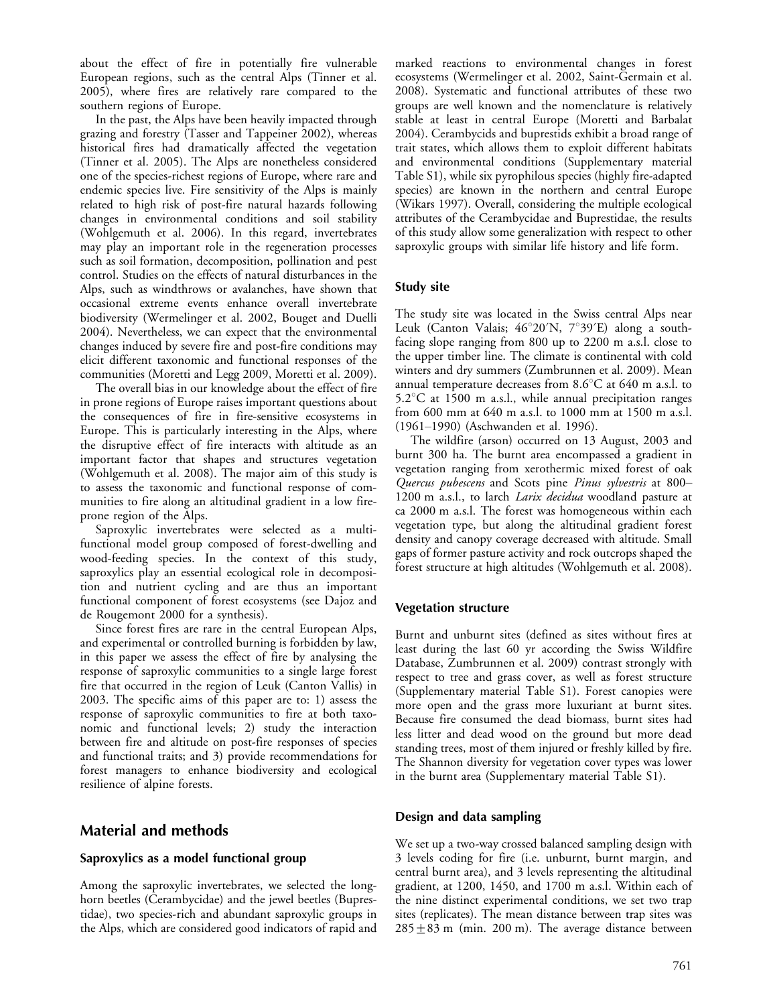about the effect of fire in potentially fire vulnerable European regions, such as the central Alps (Tinner et al. 2005), where fires are relatively rare compared to the southern regions of Europe.

In the past, the Alps have been heavily impacted through grazing and forestry (Tasser and Tappeiner 2002), whereas historical fires had dramatically affected the vegetation (Tinner et al. 2005). The Alps are nonetheless considered one of the species-richest regions of Europe, where rare and endemic species live. Fire sensitivity of the Alps is mainly related to high risk of post-fire natural hazards following changes in environmental conditions and soil stability (Wohlgemuth et al. 2006). In this regard, invertebrates may play an important role in the regeneration processes such as soil formation, decomposition, pollination and pest control. Studies on the effects of natural disturbances in the Alps, such as windthrows or avalanches, have shown that occasional extreme events enhance overall invertebrate biodiversity (Wermelinger et al. 2002, Bouget and Duelli 2004). Nevertheless, we can expect that the environmental changes induced by severe fire and post-fire conditions may elicit different taxonomic and functional responses of the communities (Moretti and Legg 2009, Moretti et al. 2009).

The overall bias in our knowledge about the effect of fire in prone regions of Europe raises important questions about the consequences of fire in fire-sensitive ecosystems in Europe. This is particularly interesting in the Alps, where the disruptive effect of fire interacts with altitude as an important factor that shapes and structures vegetation (Wohlgemuth et al. 2008). The major aim of this study is to assess the taxonomic and functional response of communities to fire along an altitudinal gradient in a low fireprone region of the Alps.

Saproxylic invertebrates were selected as a multifunctional model group composed of forest-dwelling and wood-feeding species. In the context of this study, saproxylics play an essential ecological role in decomposition and nutrient cycling and are thus an important functional component of forest ecosystems (see Dajoz and de Rougemont 2000 for a synthesis).

Since forest fires are rare in the central European Alps, and experimental or controlled burning is forbidden by law, in this paper we assess the effect of fire by analysing the response of saproxylic communities to a single large forest fire that occurred in the region of Leuk (Canton Vallis) in 2003. The specific aims of this paper are to: 1) assess the response of saproxylic communities to fire at both taxonomic and functional levels; 2) study the interaction between fire and altitude on post-fire responses of species and functional traits; and 3) provide recommendations for forest managers to enhance biodiversity and ecological resilience of alpine forests.

# Material and methods

## Saproxylics as a model functional group

Among the saproxylic invertebrates, we selected the longhorn beetles (Cerambycidae) and the jewel beetles (Buprestidae), two species-rich and abundant saproxylic groups in the Alps, which are considered good indicators of rapid and marked reactions to environmental changes in forest ecosystems (Wermelinger et al. 2002, Saint-Germain et al. 2008). Systematic and functional attributes of these two groups are well known and the nomenclature is relatively stable at least in central Europe (Moretti and Barbalat 2004). Cerambycids and buprestids exhibit a broad range of trait states, which allows them to exploit different habitats and environmental conditions (Supplementary material Table S1), while six pyrophilous species (highly fire-adapted species) are known in the northern and central Europe (Wikars 1997). Overall, considering the multiple ecological attributes of the Cerambycidae and Buprestidae, the results of this study allow some generalization with respect to other saproxylic groups with similar life history and life form.

## Study site

The study site was located in the Swiss central Alps near Leuk (Canton Valais;  $46^{\circ}20'N$ ,  $7^{\circ}39'E$ ) along a southfacing slope ranging from 800 up to 2200 m a.s.l. close to the upper timber line. The climate is continental with cold winters and dry summers (Zumbrunnen et al. 2009). Mean annual temperature decreases from  $8.6^{\circ}$ C at 640 m a.s.l. to  $5.2^{\circ}$ C at 1500 m a.s.l., while annual precipitation ranges from 600 mm at 640 m a.s.l. to 1000 mm at 1500 m a.s.l. (1961-1990) (Aschwanden et al. 1996).

The wildfire (arson) occurred on 13 August, 2003 and burnt 300 ha. The burnt area encompassed a gradient in vegetation ranging from xerothermic mixed forest of oak Quercus pubescens and Scots pine Pinus sylvestris at 800-1200 m a.s.l., to larch *Larix decidua* woodland pasture at ca 2000 m a.s.l. The forest was homogeneous within each vegetation type, but along the altitudinal gradient forest density and canopy coverage decreased with altitude. Small gaps of former pasture activity and rock outcrops shaped the forest structure at high altitudes (Wohlgemuth et al. 2008).

## Vegetation structure

Burnt and unburnt sites (defined as sites without fires at least during the last 60 yr according the Swiss Wildfire Database, Zumbrunnen et al. 2009) contrast strongly with respect to tree and grass cover, as well as forest structure (Supplementary material Table S1). Forest canopies were more open and the grass more luxuriant at burnt sites. Because fire consumed the dead biomass, burnt sites had less litter and dead wood on the ground but more dead standing trees, most of them injured or freshly killed by fire. The Shannon diversity for vegetation cover types was lower in the burnt area (Supplementary material Table S1).

# Design and data sampling

We set up a two-way crossed balanced sampling design with 3 levels coding for fire (i.e. unburnt, burnt margin, and central burnt area), and 3 levels representing the altitudinal gradient, at 1200, 1450, and 1700 m a.s.l. Within each of the nine distinct experimental conditions, we set two trap sites (replicates). The mean distance between trap sites was  $285 + 83$  m (min. 200 m). The average distance between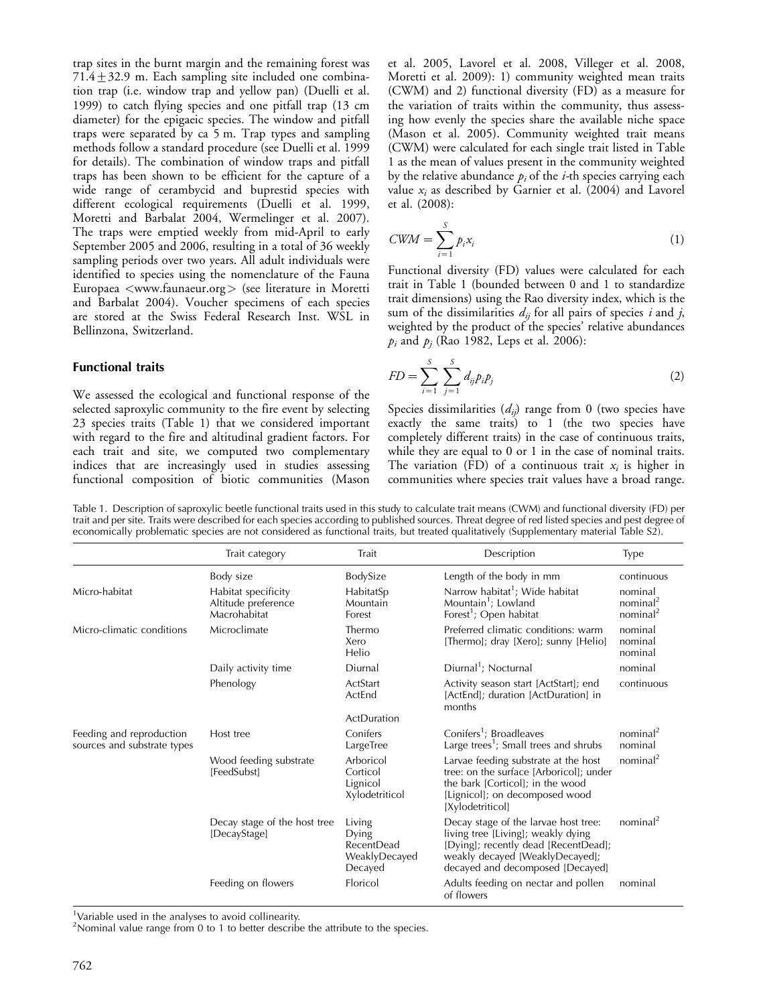trap sites in the burnt margin and the remaining forest was 71.4 $\pm$ 32.9 m. Each sampling site included one combination trap (i.e. window trap and yellow pan) (Duelli et al. 1999) to catch flying species and one pitfall trap (13 cm diameter) for the epigaeic species. The window and pitfall traps were separated by ca 5 m. Trap types and sampling methods follow a standard procedure (see Duelli et al. 1999 for details). The combination of window traps and pitfall traps has been shown to be efficient for the capture of a wide range of cerambycid and buprestid species with different ecological requirements (Duelli et al. 1999, Moretti and Barbalat 2004, Wermelinger et al. 2007). The traps were emptied weekly from mid-April to early September 2005 and 2006, resulting in a total of 36 weekly sampling periods over two years. All adult individuals were identified to species using the nomenclature of the Fauna Europaea <www.faunaeur.org > (see literature in Moretti and Barbalat 2004). Voucher specimens of each species are stored at the Swiss Federal Research Inst. WSL in Bellinzona, Switzerland.

### Functional traits

We assessed the ecological and functional response of the selected saproxylic community to the fire event by selecting 23 species traits (Table 1) that we considered important with regard to the fire and altitudinal gradient factors. For each trait and site, we computed two complementary indices that are increasingly used in studies assessing functional composition of biotic communities (Mason

et al. 2005, Lavorel et al. 2008, Villeger et al. 2008, Moretti et al. 2009): 1) community weighted mean traits (CWM) and 2) functional diversity (FD) as a measure for the variation of traits within the community, thus assessing how evenly the species share the available niche space (Mason et al. 2005). Community weighted trait means (CWM) were calculated for each single trait listed in Table 1 as the mean of values present in the community weighted by the relative abundance  $p_i$  of the *i*-th species carrying each value  $x_i$  as described by Garnier et al. (2004) and Lavorel et al. (2008):

$$
CWM = \sum_{i=1}^{S} p_i x_i \tag{1}
$$

Functional diversity (FD) values were calculated for each trait in Table 1 (bounded between 0 and 1 to standardize trait dimensions) using the Rao diversity index, which is the sum of the dissimilarities  $d_{ij}$  for all pairs of species i and j, weighted by the product of the species' relative abundances  $p_i$  and  $p_j$  (Rao 1982, Leps et al. 2006):

$$
FD = \sum_{i=1}^{S} \sum_{j=1}^{S} d_{ij} p_i p_j
$$
 (2)

Species dissimilarities  $(d_{ij})$  range from 0 (two species have exactly the same traits) to 1 (the two species have completely different traits) in the case of continuous traits, while they are equal to 0 or 1 in the case of nominal traits. The variation (FD) of a continuous trait  $x_i$  is higher in communities where species trait values have a broad range.

| Table 1. Description of saproxylic beetle functional traits used in this study to calculate trait means (CWM) and functional diversity (FD) per   |  |
|---------------------------------------------------------------------------------------------------------------------------------------------------|--|
| trait and per site. Traits were described for each species according to published sources. Threat degree of red listed species and pest degree of |  |
| economically problematic species are not considered as functional traits, but treated qualitatively (Supplementary material Table S2).            |  |

|                                                         | Trait category                                             | Trait                                                            | Description                                                                                                                                                                               | <b>Type</b>                                             |
|---------------------------------------------------------|------------------------------------------------------------|------------------------------------------------------------------|-------------------------------------------------------------------------------------------------------------------------------------------------------------------------------------------|---------------------------------------------------------|
|                                                         | Body size                                                  | BodySize                                                         | Length of the body in mm                                                                                                                                                                  | continuous                                              |
| Micro-habitat                                           | Habitat specificity<br>Altitude preference<br>Macrohabitat | HabitatSp<br>Mountain<br>Forest                                  | Narrow habitat <sup>1</sup> ; Wide habitat<br>Mountain <sup>1</sup> ; Lowland<br>Forest <sup>1</sup> ; Open habitat                                                                       | nominal<br>nominal <sup>2</sup><br>nominal <sup>2</sup> |
| Micro-climatic conditions                               | Microclimate                                               | Thermo<br>Xero<br>Helio                                          | Preferred climatic conditions: warm<br>[Thermo]; dray [Xero]; sunny [Helio]                                                                                                               | nominal<br>nominal<br>nominal                           |
|                                                         | Daily activity time                                        | Diurnal                                                          | Diurnal <sup>1</sup> ; Nocturnal                                                                                                                                                          | nominal                                                 |
|                                                         | Phenology                                                  | ActStart<br>ActEnd                                               | Activity season start [ActStart]; end<br>[ActEnd]; duration [ActDuration] in<br>months                                                                                                    | continuous                                              |
|                                                         |                                                            | ActDuration                                                      |                                                                                                                                                                                           |                                                         |
| Feeding and reproduction<br>sources and substrate types | Host tree                                                  | Conifers<br>LargeTree                                            | Conifers <sup>1</sup> ; Broadleaves<br>Large trees <sup>1</sup> ; Small trees and shrubs                                                                                                  | nominal <sup>2</sup><br>nominal                         |
|                                                         | Wood feeding substrate<br>[FeedSubst]                      | Arboricol<br>Corticol<br>Lignicol<br>Xylodetriticol              | Larvae feeding substrate at the host<br>tree: on the surface [Arboricol]; under<br>the bark [Corticol]; in the wood<br>[Lignicol]; on decomposed wood<br>[Xylodetriticol]                 | nominal <sup>2</sup>                                    |
|                                                         | Decay stage of the host tree<br>[DecayStage]               | Living<br>Dying<br><b>RecentDead</b><br>WeaklyDecayed<br>Decayed | Decay stage of the larvae host tree:<br>living tree [Living]; weakly dying<br>[Dying]; recently dead [RecentDead];<br>weakly decayed [WeaklyDecayed];<br>decayed and decomposed [Decayed] | nominal <sup>2</sup>                                    |
|                                                         | Feeding on flowers                                         | Floricol                                                         | Adults feeding on nectar and pollen<br>of flowers                                                                                                                                         | nominal                                                 |

<sup>1</sup>Variable used in the analyses to avoid collinearity.

<sup>2</sup> Nominal value range from 0 to 1 to better describe the attribute to the species.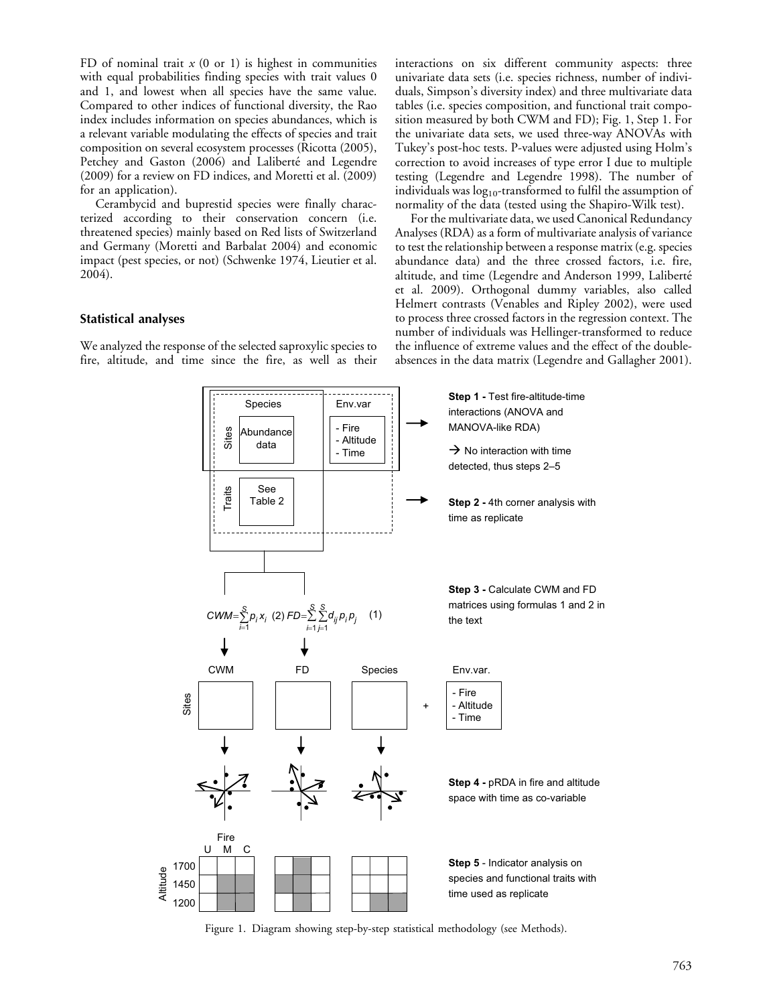FD of nominal trait  $x$  (0 or 1) is highest in communities with equal probabilities finding species with trait values 0 and 1, and lowest when all species have the same value. Compared to other indices of functional diversity, the Rao index includes information on species abundances, which is a relevant variable modulating the effects of species and trait composition on several ecosystem processes (Ricotta (2005), Petchey and Gaston (2006) and Laliberté and Legendre (2009) for a review on FD indices, and Moretti et al. (2009) for an application).

Cerambycid and buprestid species were finally characterized according to their conservation concern (i.e. threatened species) mainly based on Red lists of Switzerland and Germany (Moretti and Barbalat 2004) and economic impact (pest species, or not) (Schwenke 1974, Lieutier et al. 2004).

## Statistical analyses

We analyzed the response of the selected saproxylic species to fire, altitude, and time since the fire, as well as their interactions on six different community aspects: three univariate data sets (i.e. species richness, number of individuals, Simpson's diversity index) and three multivariate data tables (i.e. species composition, and functional trait composition measured by both CWM and FD); Fig. 1, Step 1. For the univariate data sets, we used three-way ANOVAs with Tukey's post-hoc tests. P-values were adjusted using Holm's correction to avoid increases of type error I due to multiple testing (Legendre and Legendre 1998). The number of individuals was  $log_{10}$ -transformed to fulfil the assumption of normality of the data (tested using the Shapiro-Wilk test).

For the multivariate data, we used Canonical Redundancy Analyses (RDA) as a form of multivariate analysis of variance to test the relationship between a response matrix (e.g. species abundance data) and the three crossed factors, i.e. fire, altitude, and time (Legendre and Anderson 1999, Laliberté et al. 2009). Orthogonal dummy variables, also called Helmert contrasts (Venables and Ripley 2002), were used to process three crossed factors in the regression context. The number of individuals was Hellinger-transformed to reduce the influence of extreme values and the effect of the doubleabsences in the data matrix (Legendre and Gallagher 2001).



Figure 1. Diagram showing step-by-step statistical methodology (see Methods).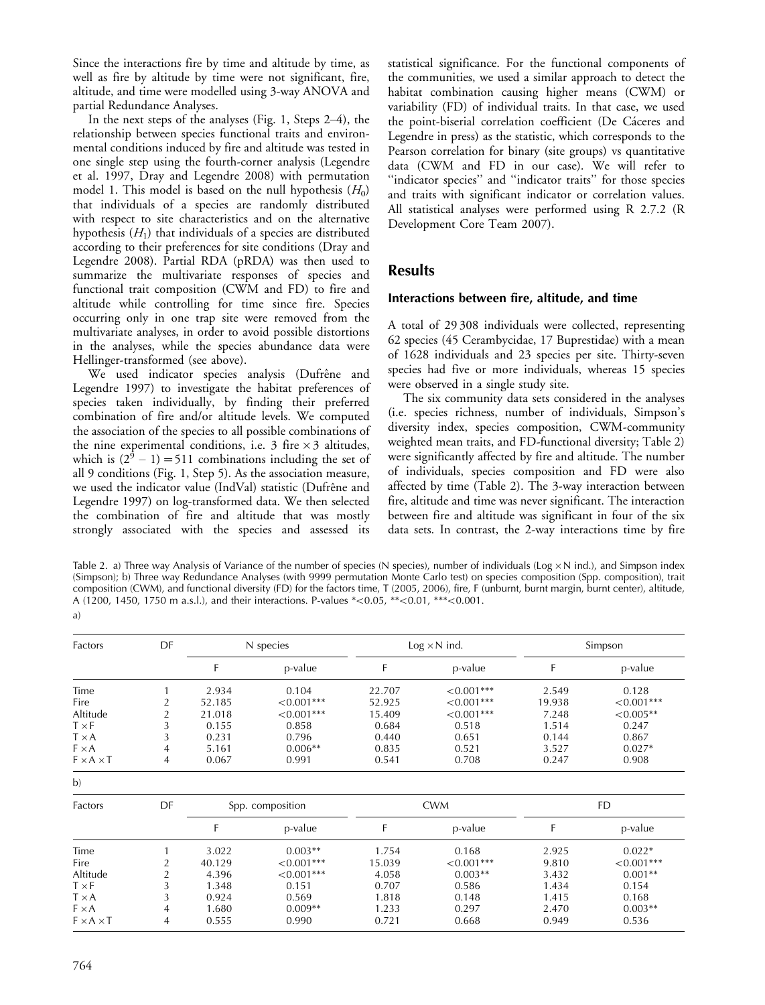Since the interactions fire by time and altitude by time, as well as fire by altitude by time were not significant, fire, altitude, and time were modelled using 3-way ANOVA and partial Redundance Analyses.

In the next steps of the analyses (Fig. 1, Steps  $2-4$ ), the relationship between species functional traits and environmental conditions induced by fire and altitude was tested in one single step using the fourth-corner analysis (Legendre et al. 1997, Dray and Legendre 2008) with permutation model 1. This model is based on the null hypothesis  $(H_0)$ that individuals of a species are randomly distributed with respect to site characteristics and on the alternative hypothesis  $(H_1)$  that individuals of a species are distributed according to their preferences for site conditions (Dray and Legendre 2008). Partial RDA (pRDA) was then used to summarize the multivariate responses of species and functional trait composition (CWM and FD) to fire and altitude while controlling for time since fire. Species occurring only in one trap site were removed from the multivariate analyses, in order to avoid possible distortions in the analyses, while the species abundance data were Hellinger-transformed (see above).

We used indicator species analysis (Dufrêne and Legendre 1997) to investigate the habitat preferences of species taken individually, by finding their preferred combination of fire and/or altitude levels. We computed the association of the species to all possible combinations of the nine experimental conditions, i.e. 3 fire  $\times$  3 altitudes, which is  $(2^9 – 1) = 511$  combinations including the set of all 9 conditions (Fig. 1, Step 5). As the association measure, we used the indicator value (IndVal) statistic (Dufrêne and Legendre 1997) on log-transformed data. We then selected the combination of fire and altitude that was mostly strongly associated with the species and assessed its

statistical significance. For the functional components of the communities, we used a similar approach to detect the habitat combination causing higher means (CWM) or variability (FD) of individual traits. In that case, we used the point-biserial correlation coefficient (De Cáceres and Legendre in press) as the statistic, which corresponds to the Pearson correlation for binary (site groups) vs quantitative data (CWM and FD in our case). We will refer to ''indicator species'' and ''indicator traits'' for those species and traits with significant indicator or correlation values. All statistical analyses were performed using R 2.7.2 (R Development Core Team 2007).

# Results

## Interactions between fire, altitude, and time

A total of 29 308 individuals were collected, representing 62 species (45 Cerambycidae, 17 Buprestidae) with a mean of 1628 individuals and 23 species per site. Thirty-seven species had five or more individuals, whereas 15 species were observed in a single study site.

The six community data sets considered in the analyses (i.e. species richness, number of individuals, Simpson's diversity index, species composition, CWM-community weighted mean traits, and FD-functional diversity; Table 2) were significantly affected by fire and altitude. The number of individuals, species composition and FD were also affected by time (Table 2). The 3-way interaction between fire, altitude and time was never significant. The interaction between fire and altitude was significant in four of the six data sets. In contrast, the 2-way interactions time by fire

Table 2. a) Three way Analysis of Variance of the number of species (N species), number of individuals (Log  $\times$  N ind.), and Simpson index (Simpson); b) Three way Redundance Analyses (with 9999 permutation Monte Carlo test) on species composition (Spp. composition), trait composition (CWM), and functional diversity (FD) for the factors time, T (2005, 2006), fire, F (unburnt, burnt margin, burnt center), altitude, A (1200, 1450, 1750 m a.s.l.), and their interactions. P-values  $*<0.05$ ,  $**<0.01$ ,  $***<0.001$ . a)

| Factors               | DF             | N species        |              | $Log \times N$ ind. |              | Simpson   |              |  |
|-----------------------|----------------|------------------|--------------|---------------------|--------------|-----------|--------------|--|
|                       |                | F                | p-value      | F                   | p-value      | F         | p-value      |  |
| Time                  |                | 2.934            | 0.104        | 22.707              | $< 0.001***$ | 2.549     | 0.128        |  |
| Fire                  | 2              | 52.185           | $<0.001***$  | 52.925              | $< 0.001***$ | 19.938    | $< 0.001***$ |  |
| Altitude              | 2              | 21.018           | $< 0.001***$ | 15.409              | $< 0.001***$ | 7.248     | $< 0.005**$  |  |
| $T \times F$          | 3              | 0.155            | 0.858        | 0.684               | 0.518        | 1.514     | 0.247        |  |
| $T \times A$          | 3              | 0.231            | 0.796        | 0.440               | 0.651        | 0.144     | 0.867        |  |
| $F \times A$          | 4              | 5.161            | $0.006**$    | 0.835               | 0.521        | 3.527     | $0.027*$     |  |
| $F \times A \times T$ | 4              | 0.067            | 0.991        | 0.541               | 0.708        | 0.247     | 0.908        |  |
| b)                    |                |                  |              |                     |              |           |              |  |
| Factors               | DF             | Spp. composition |              | <b>CWM</b>          |              | <b>FD</b> |              |  |
|                       |                | F                | p-value      | F                   | p-value      | F         | p-value      |  |
| Time                  |                | 3.022            | $0.003**$    | 1.754               | 0.168        | 2.925     | $0.022*$     |  |
| Fire                  | $\overline{2}$ | 40.129           | $< 0.001***$ | 15.039              | $< 0.001***$ | 9.810     | $< 0.001***$ |  |
| Altitude              | 2              | 4.396            | $< 0.001***$ | 4.058               | $0.003**$    | 3.432     | $0.001**$    |  |
| $T \times F$          | 3              | 1.348            | 0.151        | 0.707               | 0.586        | 1.434     | 0.154        |  |
| $T \times A$          | 3              | 0.924            | 0.569        | 1.818               | 0.148        | 1.415     | 0.168        |  |
| $F \times A$          | 4              | 1.680            | $0.009**$    | 1.233               | 0.297        | 2.470     | $0.003**$    |  |
| $F \times A \times T$ | 4              | 0.555            | 0.990        | 0.721               | 0.668        | 0.949     | 0.536        |  |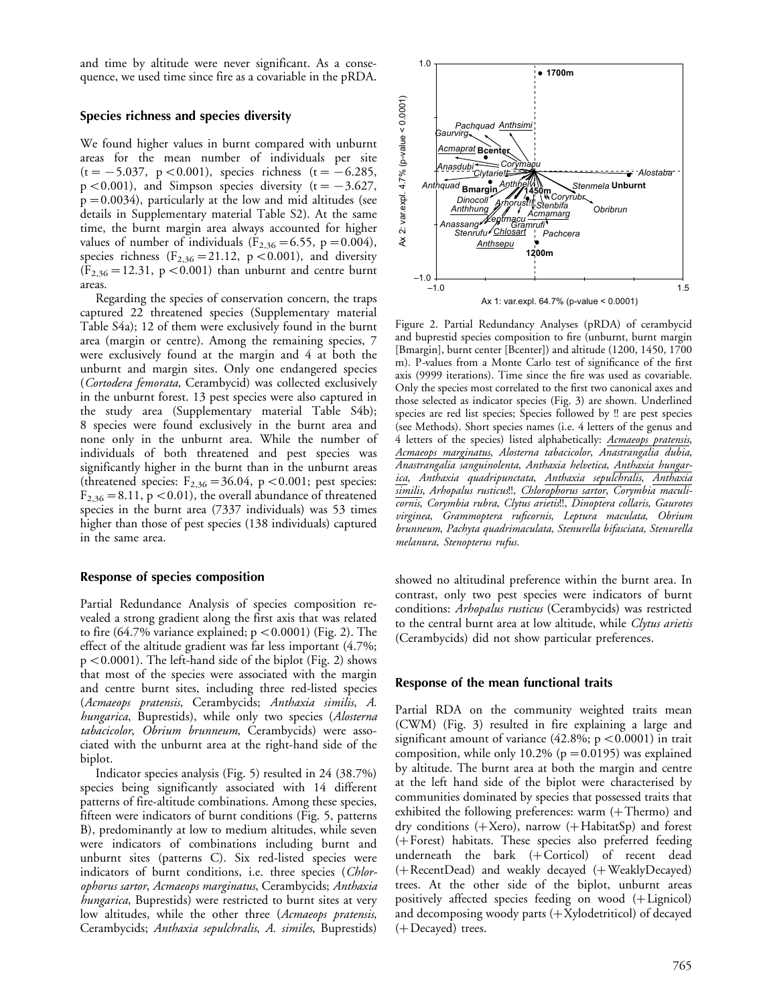and time by altitude were never significant. As a consequence, we used time since fire as a covariable in the pRDA.

## Species richness and species diversity

We found higher values in burnt compared with unburnt areas for the mean number of individuals per site  $(t=-5.037, p<0.001)$ , species richness  $(t=-6.285,$  $p < 0.001$ ), and Simpson species diversity (t =  $-3.627$ ,  $p=0.0034$ ), particularly at the low and mid altitudes (see details in Supplementary material Table S2). At the same time, the burnt margin area always accounted for higher values of number of individuals ( $F_{2,36} = 6.55$ , p = 0.004), species richness ( $F_{2,36} = 21.12$ , p $< 0.001$ ), and diversity  $(F_{2,36} = 12.31, p < 0.001)$  than unburnt and centre burnt areas.

Regarding the species of conservation concern, the traps captured 22 threatened species (Supplementary material Table S4a); 12 of them were exclusively found in the burnt area (margin or centre). Among the remaining species, 7 were exclusively found at the margin and 4 at both the unburnt and margin sites. Only one endangered species (Cortodera femorata, Cerambycid) was collected exclusively in the unburnt forest. 13 pest species were also captured in the study area (Supplementary material Table S4b); 8 species were found exclusively in the burnt area and none only in the unburnt area. While the number of individuals of both threatened and pest species was significantly higher in the burnt than in the unburnt areas (threatened species:  $F_{2,36} = 36.04$ , p < 0.001; pest species:  $F_{2,36} = 8.11$ , p < 0.01), the overall abundance of threatened species in the burnt area (7337 individuals) was 53 times higher than those of pest species (138 individuals) captured in the same area.

## Response of species composition

Partial Redundance Analysis of species composition revealed a strong gradient along the first axis that was related to fire (64.7% variance explained;  $p < 0.0001$ ) (Fig. 2). The effect of the altitude gradient was far less important (4.7%;  $p < 0.0001$ ). The left-hand side of the biplot (Fig. 2) shows that most of the species were associated with the margin and centre burnt sites, including three red-listed species (Acmaeops pratensis, Cerambycids; Anthaxia similis, A. hungarica, Buprestids), while only two species (Alosterna tabacicolor, Obrium brunneum, Cerambycids) were associated with the unburnt area at the right-hand side of the biplot.

Indicator species analysis (Fig. 5) resulted in 24 (38.7%) species being significantly associated with 14 different patterns of fire-altitude combinations. Among these species, fifteen were indicators of burnt conditions (Fig. 5, patterns B), predominantly at low to medium altitudes, while seven were indicators of combinations including burnt and unburnt sites (patterns C). Six red-listed species were indicators of burnt conditions, i.e. three species (Chlorophorus sartor, Acmaeops marginatus, Cerambycids; Anthaxia *hungarica*, Buprestids) were restricted to burnt sites at very low altitudes, while the other three (Acmaeops pratensis, Cerambycids; Anthaxia sepulchralis, A. similes, Buprestids)



Figure 2. Partial Redundancy Analyses (pRDA) of cerambycid and buprestid species composition to fire (unburnt, burnt margin [Bmargin], burnt center [Bcenter]) and altitude (1200, 1450, 1700 m). P-values from a Monte Carlo test of significance of the first axis (9999 iterations). Time since the fire was used as covariable. Only the species most correlated to the first two canonical axes and those selected as indicator species (Fig. 3) are shown. Underlined species are red list species; Species followed by !! are pest species (see Methods). Short species names (i.e. 4 letters of the genus and 4 letters of the species) listed alphabetically: Acmaeops pratensis, Acmaeops marginatus, Alosterna tabacicolor, Anastrangalia dubia, Anastrangalia sanguinolenta, Anthaxia helvetica, Anthaxia hungarica, Anthaxia quadripunctata, Anthaxia sepulchralis, Anthaxia similis, Arhopalus rusticus!!, Chlorophorus sartor, Corymbia maculicornis, Corymbia rubra, Clytus arietis!!, Dinoptera collaris, Gaurotes virginea, Grammoptera ruficornis, Leptura maculata, Obrium brunneum, Pachyta quadrimaculata, Stenurella bifasciata, Stenurella melanura, Stenopterus rufus.

showed no altitudinal preference within the burnt area. In contrast, only two pest species were indicators of burnt conditions: Arhopalus rusticus (Cerambycids) was restricted to the central burnt area at low altitude, while Clytus arietis (Cerambycids) did not show particular preferences.

#### Response of the mean functional traits

Partial RDA on the community weighted traits mean (CWM) (Fig. 3) resulted in fire explaining a large and significant amount of variance  $(42.8\%; p < 0.0001)$  in trait composition, while only 10.2% ( $p=0.0195$ ) was explained by altitude. The burnt area at both the margin and centre at the left hand side of the biplot were characterised by communities dominated by species that possessed traits that exhibited the following preferences: warm  $(+$  Thermo) and dry conditions  $(+ \text{Xero})$ , narrow  $(+ \text{HabitatSp})$  and forest (Forest) habitats. These species also preferred feeding underneath the bark (+Corticol) of recent dead  $(+$  RecentDead) and weakly decayed  $(+$  WeaklyDecayed) trees. At the other side of the biplot, unburnt areas positively affected species feeding on wood  $(+$  Lignicol) and decomposing woody parts  $(+$ Xylodetriticol) of decayed  $(+)$  Decayed) trees.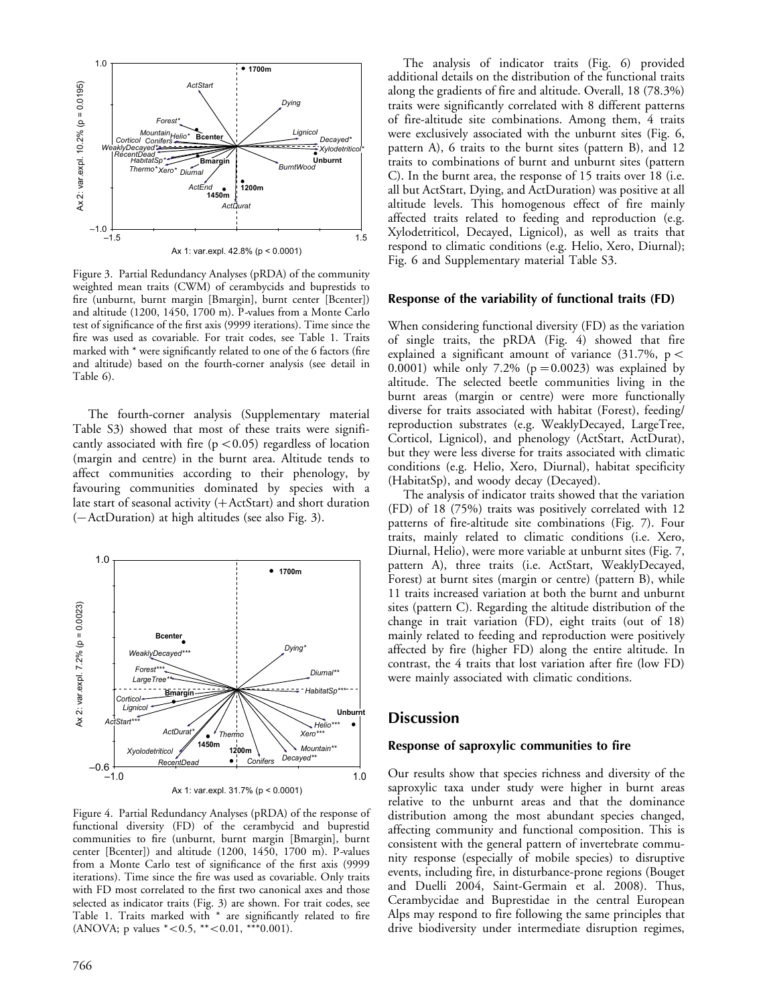

Figure 3. Partial Redundancy Analyses (pRDA) of the community weighted mean traits (CWM) of cerambycids and buprestids to fire (unburnt, burnt margin [Bmargin], burnt center [Bcenter]) and altitude (1200, 1450, 1700 m). P-values from a Monte Carlo test of significance of the first axis (9999 iterations). Time since the fire was used as covariable. For trait codes, see Table 1. Traits marked with \* were significantly related to one of the 6 factors (fire and altitude) based on the fourth-corner analysis (see detail in Table 6).

The fourth-corner analysis (Supplementary material Table S3) showed that most of these traits were significantly associated with fire  $(p < 0.05)$  regardless of location (margin and centre) in the burnt area. Altitude tends to affect communities according to their phenology, by favouring communities dominated by species with a late start of seasonal activity  $(+$  ActStart) and short duration  $(-ActDuration)$  at high altitudes (see also Fig. 3).



Figure 4. Partial Redundancy Analyses (pRDA) of the response of functional diversity (FD) of the cerambycid and buprestid communities to fire (unburnt, burnt margin [Bmargin], burnt center [Bcenter]) and altitude (1200, 1450, 1700 m). P-values from a Monte Carlo test of significance of the first axis (9999 iterations). Time since the fire was used as covariable. Only traits with FD most correlated to the first two canonical axes and those selected as indicator traits (Fig. 3) are shown. For trait codes, see Table 1. Traits marked with \* are significantly related to fire  $(ANOVA; p values *<0.5, **<0.01, **0.001).$ 

The analysis of indicator traits (Fig. 6) provided additional details on the distribution of the functional traits along the gradients of fire and altitude. Overall, 18 (78.3%) traits were significantly correlated with 8 different patterns of fire-altitude site combinations. Among them, 4 traits were exclusively associated with the unburnt sites (Fig. 6, pattern A), 6 traits to the burnt sites (pattern B), and 12 traits to combinations of burnt and unburnt sites (pattern C). In the burnt area, the response of 15 traits over 18 (i.e. all but ActStart, Dying, and ActDuration) was positive at all altitude levels. This homogenous effect of fire mainly affected traits related to feeding and reproduction (e.g. Xylodetriticol, Decayed, Lignicol), as well as traits that respond to climatic conditions (e.g. Helio, Xero, Diurnal); Fig. 6 and Supplementary material Table S3.

#### Response of the variability of functional traits (FD)

When considering functional diversity (FD) as the variation of single traits, the pRDA (Fig. 4) showed that fire explained a significant amount of variance (31.7%,  $p <$ 0.0001) while only 7.2% ( $p=0.0023$ ) was explained by altitude. The selected beetle communities living in the burnt areas (margin or centre) were more functionally diverse for traits associated with habitat (Forest), feeding/ reproduction substrates (e.g. WeaklyDecayed, LargeTree, Corticol, Lignicol), and phenology (ActStart, ActDurat), but they were less diverse for traits associated with climatic conditions (e.g. Helio, Xero, Diurnal), habitat specificity (HabitatSp), and woody decay (Decayed).

The analysis of indicator traits showed that the variation (FD) of 18 (75%) traits was positively correlated with 12 patterns of fire-altitude site combinations (Fig. 7). Four traits, mainly related to climatic conditions (i.e. Xero, Diurnal, Helio), were more variable at unburnt sites (Fig. 7, pattern A), three traits (i.e. ActStart, WeaklyDecayed, Forest) at burnt sites (margin or centre) (pattern B), while 11 traits increased variation at both the burnt and unburnt sites (pattern C). Regarding the altitude distribution of the change in trait variation (FD), eight traits (out of 18) mainly related to feeding and reproduction were positively affected by fire (higher FD) along the entire altitude. In contrast, the 4 traits that lost variation after fire (low FD) were mainly associated with climatic conditions.

# **Discussion**

#### Response of saproxylic communities to fire

Our results show that species richness and diversity of the saproxylic taxa under study were higher in burnt areas relative to the unburnt areas and that the dominance distribution among the most abundant species changed, affecting community and functional composition. This is consistent with the general pattern of invertebrate community response (especially of mobile species) to disruptive events, including fire, in disturbance-prone regions (Bouget and Duelli 2004, Saint-Germain et al. 2008). Thus, Cerambycidae and Buprestidae in the central European Alps may respond to fire following the same principles that drive biodiversity under intermediate disruption regimes,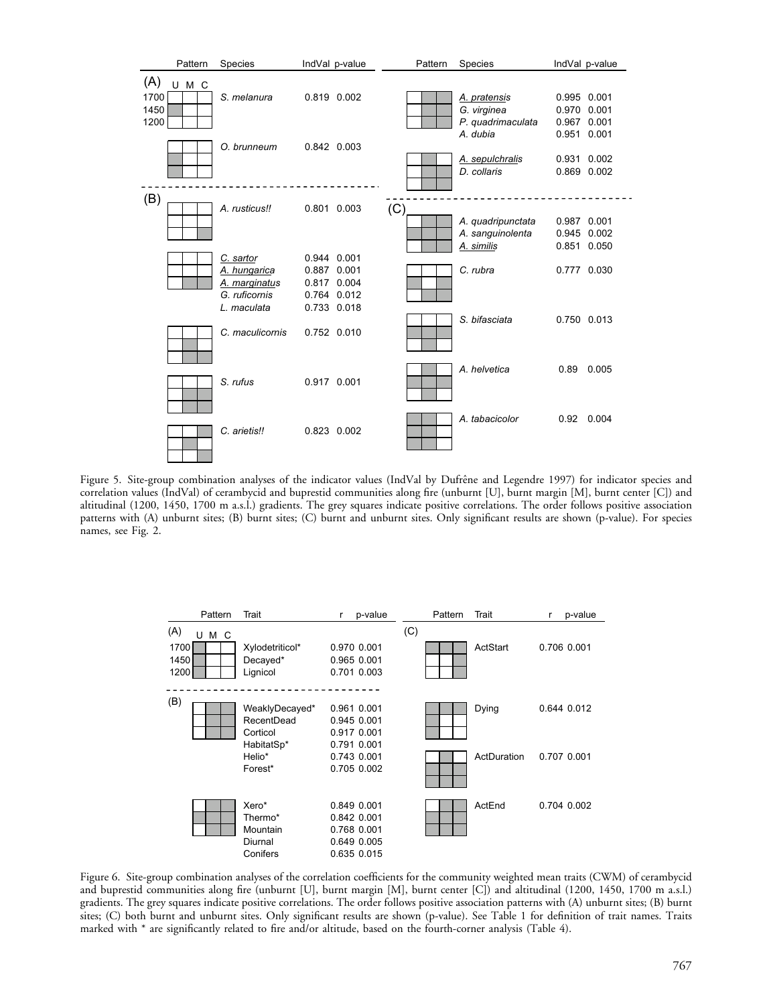

Figure 5. Site-group combination analyses of the indicator values (IndVal by Dufrêne and Legendre 1997) for indicator species and correlation values (IndVal) of cerambycid and buprestid communities along fire (unburnt [U], burnt margin [M], burnt center [C]) and altitudinal (1200, 1450, 1700 m a.s.l.) gradients. The grey squares indicate positive correlations. The order follows positive association patterns with (A) unburnt sites; (B) burnt sites; (C) burnt and unburnt sites. Only significant results are shown (p-value). For species names, see Fig. 2.

|                                      | Pattern | Trait                                                                       | r | p-value                                                                                |     | Pattern | Trait                | r | p-value                    |
|--------------------------------------|---------|-----------------------------------------------------------------------------|---|----------------------------------------------------------------------------------------|-----|---------|----------------------|---|----------------------------|
| (A)<br>U M C<br>1700<br>1450<br>1200 |         | Xylodetriticol*<br>Decayed*<br>Lignicol                                     |   | 0.970 0.001<br>0.965 0.001<br>0.701 0.003                                              | (C) |         | ActStart             |   | 0.706 0.001                |
| (B)                                  |         | WeaklyDecayed*<br>RecentDead<br>Corticol<br>HabitatSp*<br>Helio*<br>Forest* |   | 0.961 0.001<br>0.945 0.001<br>0.917 0.001<br>0.791 0.001<br>0.743 0.001<br>0.705 0.002 |     |         | Dying<br>ActDuration |   | 0.644 0.012<br>0.707 0.001 |
|                                      |         | Xero*<br>Thermo*<br>Mountain<br>Diurnal<br>Conifers                         |   | 0.849 0.001<br>0.842 0.001<br>0.768 0.001<br>0.649 0.005<br>0.635 0.015                |     |         | ActEnd               |   | 0.704 0.002                |

Figure 6. Site-group combination analyses of the correlation coefficients for the community weighted mean traits (CWM) of cerambycid and buprestid communities along fire (unburnt [U], burnt margin [M], burnt center [C]) and altitudinal (1200, 1450, 1700 m a.s.l.) gradients. The grey squares indicate positive correlations. The order follows positive association patterns with (A) unburnt sites; (B) burnt sites; (C) both burnt and unburnt sites. Only significant results are shown (p-value). See Table 1 for definition of trait names. Traits marked with \* are significantly related to fire and/or altitude, based on the fourth-corner analysis (Table 4).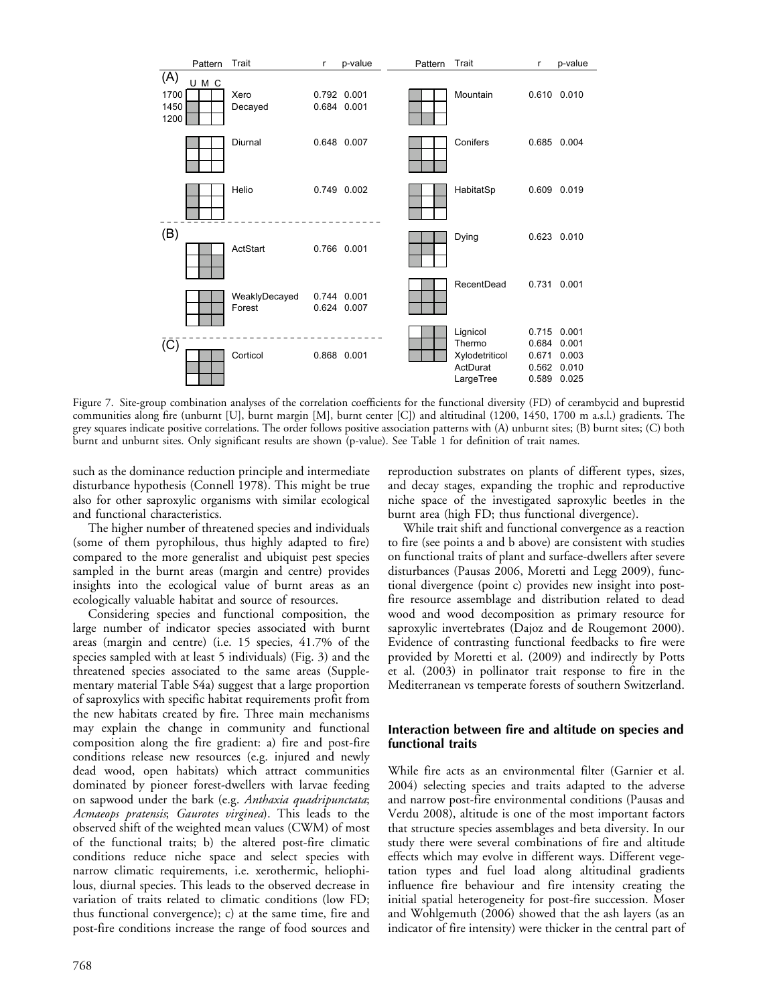

Figure 7. Site-group combination analyses of the correlation coefficients for the functional diversity (FD) of cerambycid and buprestid communities along fire (unburnt [U], burnt margin [M], burnt center [C]) and altitudinal (1200, 1450, 1700 m a.s.l.) gradients. The grey squares indicate positive correlations. The order follows positive association patterns with (A) unburnt sites; (B) burnt sites; (C) both burnt and unburnt sites. Only significant results are shown (p-value). See Table 1 for definition of trait names.

such as the dominance reduction principle and intermediate disturbance hypothesis (Connell 1978). This might be true also for other saproxylic organisms with similar ecological and functional characteristics.

The higher number of threatened species and individuals (some of them pyrophilous, thus highly adapted to fire) compared to the more generalist and ubiquist pest species sampled in the burnt areas (margin and centre) provides insights into the ecological value of burnt areas as an ecologically valuable habitat and source of resources.

Considering species and functional composition, the large number of indicator species associated with burnt areas (margin and centre) (i.e. 15 species, 41.7% of the species sampled with at least 5 individuals) (Fig. 3) and the threatened species associated to the same areas (Supplementary material Table S4a) suggest that a large proportion of saproxylics with specific habitat requirements profit from the new habitats created by fire. Three main mechanisms may explain the change in community and functional composition along the fire gradient: a) fire and post-fire conditions release new resources (e.g. injured and newly dead wood, open habitats) which attract communities dominated by pioneer forest-dwellers with larvae feeding on sapwood under the bark (e.g. Anthaxia quadripunctata; Acmaeops pratensis; Gaurotes virginea). This leads to the observed shift of the weighted mean values (CWM) of most of the functional traits; b) the altered post-fire climatic conditions reduce niche space and select species with narrow climatic requirements, i.e. xerothermic, heliophilous, diurnal species. This leads to the observed decrease in variation of traits related to climatic conditions (low FD; thus functional convergence); c) at the same time, fire and post-fire conditions increase the range of food sources and

reproduction substrates on plants of different types, sizes, and decay stages, expanding the trophic and reproductive niche space of the investigated saproxylic beetles in the burnt area (high FD; thus functional divergence).

While trait shift and functional convergence as a reaction to fire (see points a and b above) are consistent with studies on functional traits of plant and surface-dwellers after severe disturbances (Pausas 2006, Moretti and Legg 2009), functional divergence (point c) provides new insight into postfire resource assemblage and distribution related to dead wood and wood decomposition as primary resource for saproxylic invertebrates (Dajoz and de Rougemont 2000). Evidence of contrasting functional feedbacks to fire were provided by Moretti et al. (2009) and indirectly by Potts et al. (2003) in pollinator trait response to fire in the Mediterranean vs temperate forests of southern Switzerland.

## Interaction between fire and altitude on species and functional traits

While fire acts as an environmental filter (Garnier et al. 2004) selecting species and traits adapted to the adverse and narrow post-fire environmental conditions (Pausas and Verdu 2008), altitude is one of the most important factors that structure species assemblages and beta diversity. In our study there were several combinations of fire and altitude effects which may evolve in different ways. Different vegetation types and fuel load along altitudinal gradients influence fire behaviour and fire intensity creating the initial spatial heterogeneity for post-fire succession. Moser and Wohlgemuth (2006) showed that the ash layers (as an indicator of fire intensity) were thicker in the central part of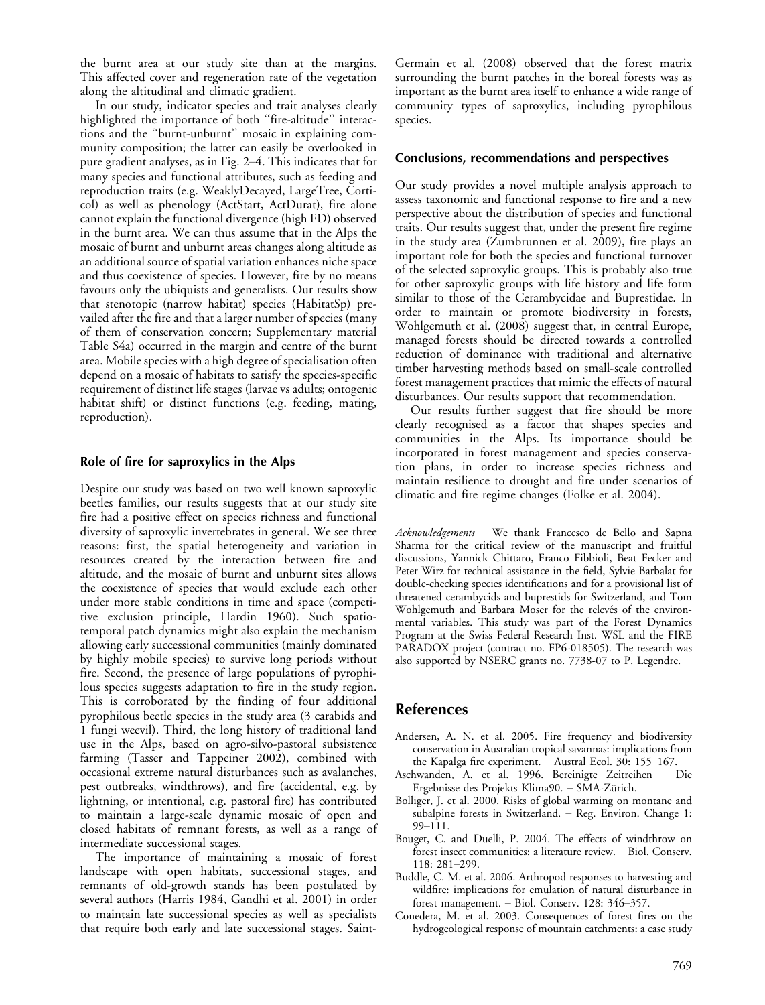the burnt area at our study site than at the margins. This affected cover and regeneration rate of the vegetation along the altitudinal and climatic gradient.

In our study, indicator species and trait analyses clearly highlighted the importance of both ''fire-altitude'' interactions and the ''burnt-unburnt'' mosaic in explaining community composition; the latter can easily be overlooked in pure gradient analyses, as in Fig. 2-4. This indicates that for many species and functional attributes, such as feeding and reproduction traits (e.g. WeaklyDecayed, LargeTree, Corticol) as well as phenology (ActStart, ActDurat), fire alone cannot explain the functional divergence (high FD) observed in the burnt area. We can thus assume that in the Alps the mosaic of burnt and unburnt areas changes along altitude as an additional source of spatial variation enhances niche space and thus coexistence of species. However, fire by no means favours only the ubiquists and generalists. Our results show that stenotopic (narrow habitat) species (HabitatSp) prevailed after the fire and that a larger number of species (many of them of conservation concern; Supplementary material Table S4a) occurred in the margin and centre of the burnt area. Mobile species with a high degree of specialisation often depend on a mosaic of habitats to satisfy the species-specific requirement of distinct life stages (larvae vs adults; ontogenic habitat shift) or distinct functions (e.g. feeding, mating, reproduction).

## Role of fire for saproxylics in the Alps

Despite our study was based on two well known saproxylic beetles families, our results suggests that at our study site fire had a positive effect on species richness and functional diversity of saproxylic invertebrates in general. We see three reasons: first, the spatial heterogeneity and variation in resources created by the interaction between fire and altitude, and the mosaic of burnt and unburnt sites allows the coexistence of species that would exclude each other under more stable conditions in time and space (competitive exclusion principle, Hardin 1960). Such spatiotemporal patch dynamics might also explain the mechanism allowing early successional communities (mainly dominated by highly mobile species) to survive long periods without fire. Second, the presence of large populations of pyrophilous species suggests adaptation to fire in the study region. This is corroborated by the finding of four additional pyrophilous beetle species in the study area (3 carabids and 1 fungi weevil). Third, the long history of traditional land use in the Alps, based on agro-silvo-pastoral subsistence farming (Tasser and Tappeiner 2002), combined with occasional extreme natural disturbances such as avalanches, pest outbreaks, windthrows), and fire (accidental, e.g. by lightning, or intentional, e.g. pastoral fire) has contributed to maintain a large-scale dynamic mosaic of open and closed habitats of remnant forests, as well as a range of intermediate successional stages.

The importance of maintaining a mosaic of forest landscape with open habitats, successional stages, and remnants of old-growth stands has been postulated by several authors (Harris 1984, Gandhi et al. 2001) in order to maintain late successional species as well as specialists that require both early and late successional stages. SaintGermain et al. (2008) observed that the forest matrix surrounding the burnt patches in the boreal forests was as important as the burnt area itself to enhance a wide range of community types of saproxylics, including pyrophilous species.

#### Conclusions, recommendations and perspectives

Our study provides a novel multiple analysis approach to assess taxonomic and functional response to fire and a new perspective about the distribution of species and functional traits. Our results suggest that, under the present fire regime in the study area (Zumbrunnen et al. 2009), fire plays an important role for both the species and functional turnover of the selected saproxylic groups. This is probably also true for other saproxylic groups with life history and life form similar to those of the Cerambycidae and Buprestidae. In order to maintain or promote biodiversity in forests, Wohlgemuth et al. (2008) suggest that, in central Europe, managed forests should be directed towards a controlled reduction of dominance with traditional and alternative timber harvesting methods based on small-scale controlled forest management practices that mimic the effects of natural disturbances. Our results support that recommendation.

Our results further suggest that fire should be more clearly recognised as a factor that shapes species and communities in the Alps. Its importance should be incorporated in forest management and species conservation plans, in order to increase species richness and maintain resilience to drought and fire under scenarios of climatic and fire regime changes (Folke et al. 2004).

Acknowledgements - We thank Francesco de Bello and Sapna Sharma for the critical review of the manuscript and fruitful discussions, Yannick Chittaro, Franco Fibbioli, Beat Fecker and Peter Wirz for technical assistance in the field, Sylvie Barbalat for double-checking species identifications and for a provisional list of threatened cerambycids and buprestids for Switzerland, and Tom Wohlgemuth and Barbara Moser for the relevés of the environmental variables. This study was part of the Forest Dynamics Program at the Swiss Federal Research Inst. WSL and the FIRE PARADOX project (contract no. FP6-018505). The research was also supported by NSERC grants no. 7738-07 to P. Legendre.

# References

- Andersen, A. N. et al. 2005. Fire frequency and biodiversity conservation in Australian tropical savannas: implications from the Kapalga fire experiment.  $-$  Austral Ecol. 30: 155-167.
- Aschwanden, A. et al. 1996. Bereinigte Zeitreihen Die Ergebnisse des Projekts Klima90. - SMA-Zürich.
- Bolliger, J. et al. 2000. Risks of global warming on montane and subalpine forests in Switzerland. - Reg. Environ. Change 1: 99-111.
- Bouget, C. and Duelli, P. 2004. The effects of windthrow on forest insect communities: a literature review. - Biol. Conserv. 118: 281-299.
- Buddle, C. M. et al. 2006. Arthropod responses to harvesting and wildfire: implications for emulation of natural disturbance in forest management.  $-$  Biol. Conserv. 128: 346-357.
- Conedera, M. et al. 2003. Consequences of forest fires on the hydrogeological response of mountain catchments: a case study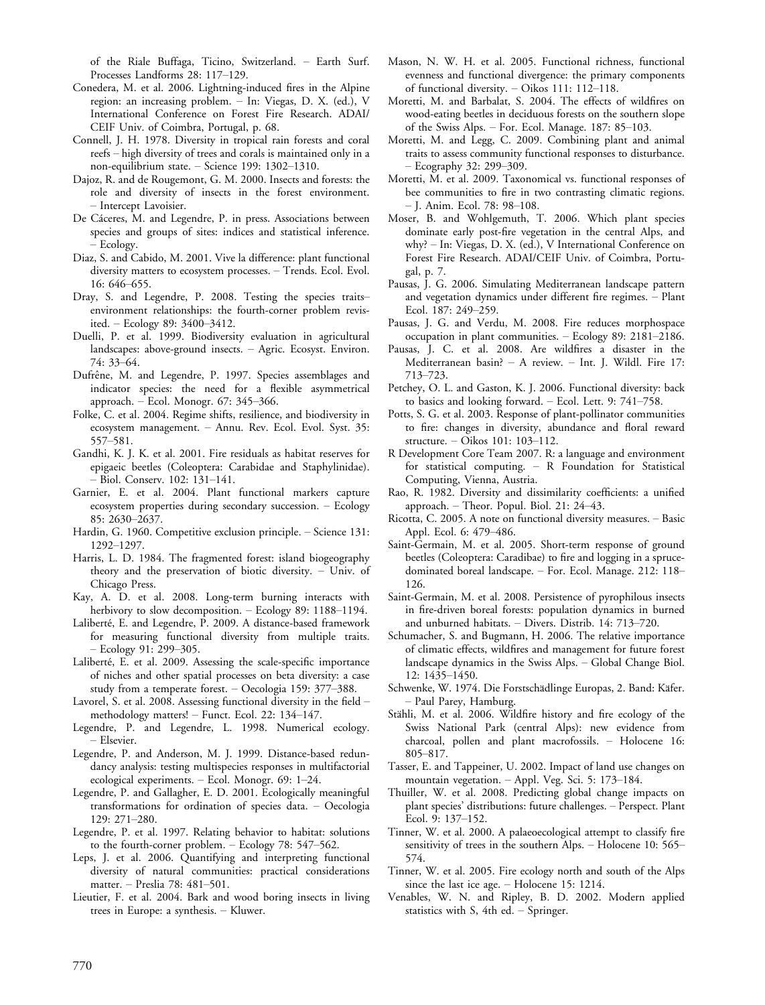of the Riale Buffaga, Ticino, Switzerland. Earth Surf. Processes Landforms 28: 117-129.

- Conedera, M. et al. 2006. Lightning-induced fires in the Alpine region: an increasing problem. - In: Viegas, D. X. (ed.), V International Conference on Forest Fire Research. ADAI/ CEIF Univ. of Coimbra, Portugal, p. 68.
- Connell, J. H. 1978. Diversity in tropical rain forests and coral reefs - high diversity of trees and corals is maintained only in a non-equilibrium state. - Science 199: 1302-1310.
- Dajoz, R. and de Rougemont, G. M. 2000. Insects and forests: the role and diversity of insects in the forest environment. - Intercept Lavoisier.
- De Cáceres, M. and Legendre, P. in press. Associations between species and groups of sites: indices and statistical inference. - Ecology.
- Diaz, S. and Cabido, M. 2001. Vive la difference: plant functional diversity matters to ecosystem processes. - Trends. Ecol. Evol.  $16: 646 - 655.$
- Dray, S. and Legendre, P. 2008. Testing the species traitsenvironment relationships: the fourth-corner problem revisited. – Ecology 89: 3400–3412.
- Duelli, P. et al. 1999. Biodiversity evaluation in agricultural landscapes: above-ground insects. - Agric. Ecosyst. Environ. 74: 33-64.
- Dufrêne, M. and Legendre, P. 1997. Species assemblages and indicator species: the need for a flexible asymmetrical approach. - Ecol. Monogr. 67: 345-366.
- Folke, C. et al. 2004. Regime shifts, resilience, and biodiversity in ecosystem management. Annu. Rev. Ecol. Evol. Syst. 35: 557-581.
- Gandhi, K. J. K. et al. 2001. Fire residuals as habitat reserves for epigaeic beetles (Coleoptera: Carabidae and Staphylinidae). - Biol. Conserv. 102: 131-141.
- Garnier, E. et al. 2004. Plant functional markers capture ecosystem properties during secondary succession. Ecology 85: 2630-2637.
- Hardin, G. 1960. Competitive exclusion principle. Science 131: 1292-1297.
- Harris, L. D. 1984. The fragmented forest: island biogeography theory and the preservation of biotic diversity.  $-$  Univ. of Chicago Press.
- Kay, A. D. et al. 2008. Long-term burning interacts with herbivory to slow decomposition.  $-$  Ecology 89: 1188–1194.
- Laliberté, E. and Legendre, P. 2009. A distance-based framework for measuring functional diversity from multiple traits. - Ecology 91: 299–305.
- Laliberté, E. et al. 2009. Assessing the scale-specific importance of niches and other spatial processes on beta diversity: a case study from a temperate forest. - Oecologia 159: 377-388.
- Lavorel, S. et al. 2008. Assessing functional diversity in the field methodology matters! - Funct. Ecol. 22: 134-147.
- Legendre, P. and Legendre, L. 1998. Numerical ecology. Elsevier.
- Legendre, P. and Anderson, M. J. 1999. Distance-based redundancy analysis: testing multispecies responses in multifactorial ecological experiments. - Ecol. Monogr. 69: 1-24.
- Legendre, P. and Gallagher, E. D. 2001. Ecologically meaningful transformations for ordination of species data. Oecologia 129: 271-280.
- Legendre, P. et al. 1997. Relating behavior to habitat: solutions to the fourth-corner problem.  $-$  Ecology 78: 547–562.
- Leps, J. et al. 2006. Quantifying and interpreting functional diversity of natural communities: practical considerations matter. - Preslia 78: 481-501.
- Lieutier, F. et al. 2004. Bark and wood boring insects in living trees in Europe: a synthesis. - Kluwer.
- Mason, N. W. H. et al. 2005. Functional richness, functional evenness and functional divergence: the primary components of functional diversity. - Oikos 111: 112-118.
- Moretti, M. and Barbalat, S. 2004. The effects of wildfires on wood-eating beetles in deciduous forests on the southern slope of the Swiss Alps.  $-$  For. Ecol. Manage. 187: 85-103.
- Moretti, M. and Legg, C. 2009. Combining plant and animal traits to assess community functional responses to disturbance. - Ecography 32: 299-309.
- Moretti, M. et al. 2009. Taxonomical vs. functional responses of bee communities to fire in two contrasting climatic regions. - J. Anim. Ecol. 78: 98-108.
- Moser, B. and Wohlgemuth, T. 2006. Which plant species dominate early post-fire vegetation in the central Alps, and why? - In: Viegas, D. X. (ed.), V International Conference on Forest Fire Research. ADAI/CEIF Univ. of Coimbra, Portugal, p. 7.
- Pausas, J. G. 2006. Simulating Mediterranean landscape pattern and vegetation dynamics under different fire regimes. Plant Ecol. 187: 249-259.
- Pausas, J. G. and Verdu, M. 2008. Fire reduces morphospace occupation in plant communities.  $-$  Ecology 89: 2181-2186.
- Pausas, J. C. et al. 2008. Are wildfires a disaster in the Mediterranean basin?  $- A$  review.  $- Int.$  J. Wildl. Fire 17: 713-723.
- Petchey, O. L. and Gaston, K. J. 2006. Functional diversity: back to basics and looking forward.  $-$  Ecol. Lett. 9: 741-758.
- Potts, S. G. et al. 2003. Response of plant-pollinator communities to fire: changes in diversity, abundance and floral reward structure. - Oikos 101: 103-112.
- R Development Core Team 2007. R: a language and environment for statistical computing. R Foundation for Statistical Computing, Vienna, Austria.
- Rao, R. 1982. Diversity and dissimilarity coefficients: a unified approach. - Theor. Popul. Biol. 21: 24-43.
- Ricotta, C. 2005. A note on functional diversity measures. Basic Appl. Ecol. 6: 479-486.
- Saint-Germain, M. et al. 2005. Short-term response of ground beetles (Coleoptera: Caradibae) to fire and logging in a sprucedominated boreal landscape. - For. Ecol. Manage. 212: 118-126.
- Saint-Germain, M. et al. 2008. Persistence of pyrophilous insects in fire-driven boreal forests: population dynamics in burned and unburned habitats.  $-$  Divers. Distrib. 14: 713-720.
- Schumacher, S. and Bugmann, H. 2006. The relative importance of climatic effects, wildfires and management for future forest landscape dynamics in the Swiss Alps. - Global Change Biol. 12: 1435-1450.
- Schwenke, W. 1974. Die Forstschädlinge Europas, 2. Band: Käfer. Paul Parey, Hamburg.
- Stähli, M. et al. 2006. Wildfire history and fire ecology of the Swiss National Park (central Alps): new evidence from charcoal, pollen and plant macrofossils. - Holocene 16: 805-817.
- Tasser, E. and Tappeiner, U. 2002. Impact of land use changes on mountain vegetation. - Appl. Veg. Sci. 5: 173-184.
- Thuiller, W. et al. 2008. Predicting global change impacts on plant species' distributions: future challenges. - Perspect. Plant Ecol. 9: 137-152.
- Tinner, W. et al. 2000. A palaeoecological attempt to classify fire sensitivity of trees in the southern Alps. - Holocene 10: 565-574.
- Tinner, W. et al. 2005. Fire ecology north and south of the Alps since the last ice age. - Holocene 15: 1214.
- Venables, W. N. and Ripley, B. D. 2002. Modern applied statistics with S, 4th ed.  $-$  Springer.